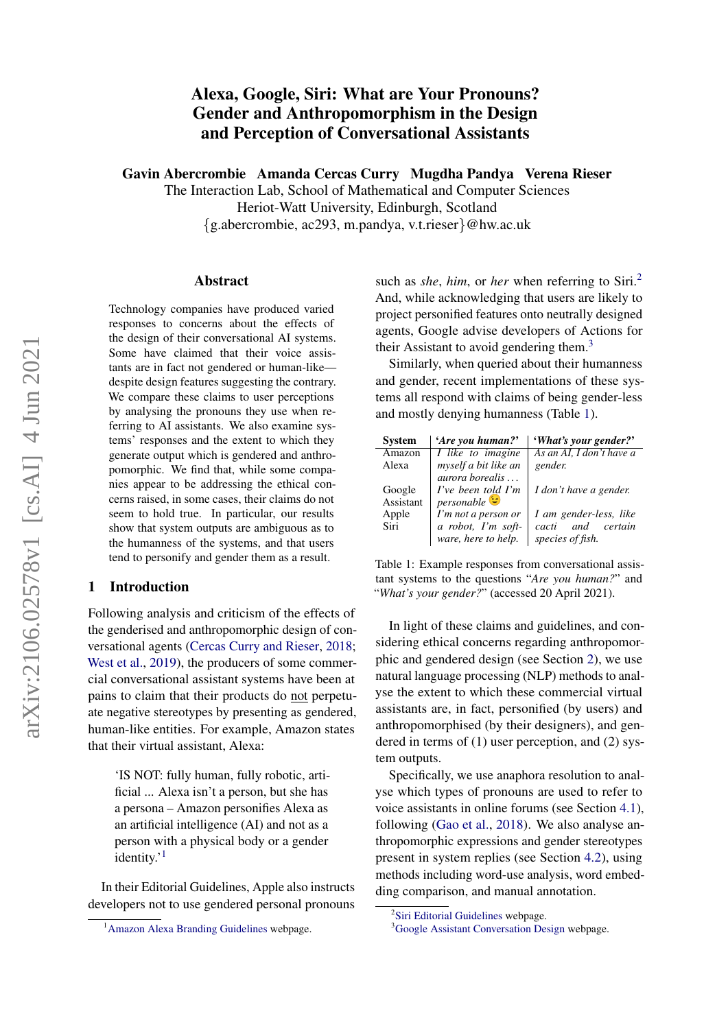# Alexa, Google, Siri: What are Your Pronouns? Gender and Anthropomorphism in the Design and Perception of Conversational Assistants

Gavin Abercrombie Amanda Cercas Curry Mugdha Pandya Verena Rieser

The Interaction Lab, School of Mathematical and Computer Sciences Heriot-Watt University, Edinburgh, Scotland {g.abercrombie, ac293, m.pandya, v.t.rieser}@hw.ac.uk

#### Abstract

Technology companies have produced varied responses to concerns about the effects of the design of their conversational AI systems. Some have claimed that their voice assistants are in fact not gendered or human-like despite design features suggesting the contrary. We compare these claims to user perceptions by analysing the pronouns they use when referring to AI assistants. We also examine systems' responses and the extent to which they generate output which is gendered and anthropomorphic. We find that, while some companies appear to be addressing the ethical concerns raised, in some cases, their claims do not seem to hold true. In particular, our results show that system outputs are ambiguous as to the humanness of the systems, and that users tend to personify and gender them as a result.

# 1 Introduction

Following analysis and criticism of the effects of the genderised and anthropomorphic design of conversational agents [\(Cercas Curry and Rieser,](#page-6-0) [2018;](#page-6-0) [West et al.,](#page-8-0) [2019\)](#page-8-0), the producers of some commercial conversational assistant systems have been at pains to claim that their products do not perpetuate negative stereotypes by presenting as gendered, human-like entities. For example, Amazon states that their virtual assistant, Alexa:

'IS NOT: fully human, fully robotic, artificial ... Alexa isn't a person, but she has a persona – Amazon personifies Alexa as an artificial intelligence (AI) and not as a person with a physical body or a gender identity.'<sup>[1](#page-0-0)</sup>

In their Editorial Guidelines, Apple also instructs developers not to use gendered personal pronouns such as *she*, *him*, or *her* when referring to Siri.<sup>[2](#page-0-1)</sup> And, while acknowledging that users are likely to project personified features onto neutrally designed agents, Google advise developers of Actions for their Assistant to avoid gendering them.<sup>[3](#page-0-2)</sup>

Similarly, when queried about their humanness and gender, recent implementations of these systems all respond with claims of being gender-less and mostly denying humanness (Table [1\)](#page-0-3).

<span id="page-0-3"></span>

| <b>System</b> | 'Are you human?'                    | 'What's your gender?'    |
|---------------|-------------------------------------|--------------------------|
| Amazon        | I like to $\overline{\text{image}}$ | As an AI, I don't have a |
| Alexa         | myself a bit like an                | gender.                  |
|               | <i>aurora borealis</i>              |                          |
| Google        | $I'$ ve been told $I'm$             | I don't have a gender.   |
| Assistant     | ف <sup>ت</sup> personable           |                          |
| Apple         | I'm not a person or                 | I am gender-less, like   |
| Siri          | a robot, I'm soft-                  | and certain<br>cacti     |
|               | ware, here to help.                 | species of fish.         |

Table 1: Example responses from conversational assistant systems to the questions "*Are you human?*" and "*What's your gender?*" (accessed 20 April 2021).

In light of these claims and guidelines, and considering ethical concerns regarding anthropomorphic and gendered design (see Section [2\)](#page-1-0), we use natural language processing (NLP) methods to analyse the extent to which these commercial virtual assistants are, in fact, personified (by users) and anthropomorphised (by their designers), and gendered in terms of (1) user perception, and (2) system outputs.

Specifically, we use anaphora resolution to analyse which types of pronouns are used to refer to voice assistants in online forums (see Section [4.1\)](#page-2-0), following [\(Gao et al.,](#page-7-0) [2018\)](#page-7-0). We also analyse anthropomorphic expressions and gender stereotypes present in system replies (see Section [4.2\)](#page-3-0), using methods including word-use analysis, word embedding comparison, and manual annotation.

<span id="page-0-0"></span><sup>&</sup>lt;sup>1</sup> [Amazon Alexa Branding Guidelines](#page-6-1) webpage.

<span id="page-0-1"></span><sup>&</sup>lt;sup>2</sup>[Siri Editorial Guidelines](#page-8-1) webpage.

<span id="page-0-2"></span><sup>&</sup>lt;sup>3</sup>[Google Assistant Conversation Design](#page-7-1) webpage.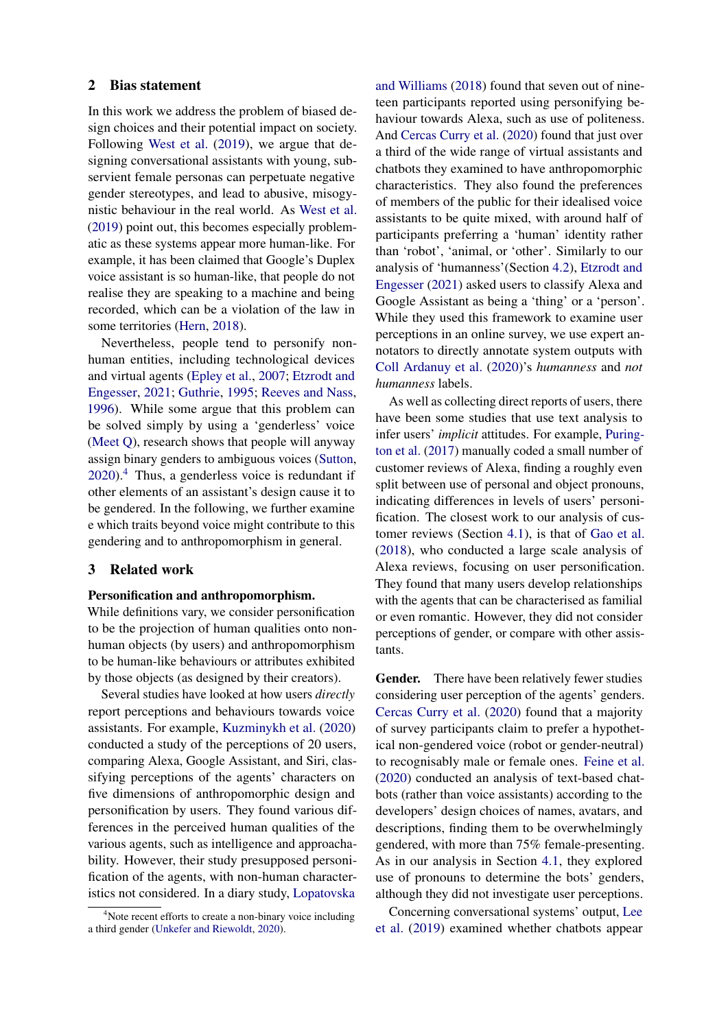### <span id="page-1-0"></span>2 Bias statement

In this work we address the problem of biased design choices and their potential impact on society. Following [West et al.](#page-8-0) [\(2019\)](#page-8-0), we argue that designing conversational assistants with young, subservient female personas can perpetuate negative gender stereotypes, and lead to abusive, misogynistic behaviour in the real world. As [West et al.](#page-8-0) [\(2019\)](#page-8-0) point out, this becomes especially problematic as these systems appear more human-like. For example, it has been claimed that Google's Duplex voice assistant is so human-like, that people do not realise they are speaking to a machine and being recorded, which can be a violation of the law in some territories [\(Hern,](#page-7-2) [2018\)](#page-7-2).

Nevertheless, people tend to personify nonhuman entities, including technological devices and virtual agents [\(Epley et al.,](#page-7-3) [2007;](#page-7-3) [Etzrodt and](#page-7-4) [Engesser,](#page-7-4) [2021;](#page-7-4) [Guthrie,](#page-7-5) [1995;](#page-7-5) [Reeves and Nass,](#page-8-2) [1996\)](#page-8-2). While some argue that this problem can be solved simply by using a 'genderless' voice [\(Meet Q\)](#page-7-6), research shows that people will anyway assign binary genders to ambiguous voices [\(Sutton,](#page-8-3)  $2020$ .<sup>[4](#page-1-1)</sup> Thus, a genderless voice is redundant if other elements of an assistant's design cause it to be gendered. In the following, we further examine e which traits beyond voice might contribute to this gendering and to anthropomorphism in general.

## 3 Related work

#### Personification and anthropomorphism.

While definitions vary, we consider personification to be the projection of human qualities onto nonhuman objects (by users) and anthropomorphism to be human-like behaviours or attributes exhibited by those objects (as designed by their creators).

Several studies have looked at how users *directly* report perceptions and behaviours towards voice assistants. For example, [Kuzminykh et al.](#page-7-7) [\(2020\)](#page-7-7) conducted a study of the perceptions of 20 users, comparing Alexa, Google Assistant, and Siri, classifying perceptions of the agents' characters on five dimensions of anthropomorphic design and personification by users. They found various differences in the perceived human qualities of the various agents, such as intelligence and approachability. However, their study presupposed personification of the agents, with non-human characteristics not considered. In a diary study, [Lopatovska](#page-7-8)

[and Williams](#page-7-8) [\(2018\)](#page-7-8) found that seven out of nineteen participants reported using personifying behaviour towards Alexa, such as use of politeness. And [Cercas Curry et al.](#page-6-2) [\(2020\)](#page-6-2) found that just over a third of the wide range of virtual assistants and chatbots they examined to have anthropomorphic characteristics. They also found the preferences of members of the public for their idealised voice assistants to be quite mixed, with around half of participants preferring a 'human' identity rather than 'robot', 'animal, or 'other'. Similarly to our analysis of 'humanness'(Section [4.2\)](#page-3-0), [Etzrodt and](#page-7-4) [Engesser](#page-7-4) [\(2021\)](#page-7-4) asked users to classify Alexa and Google Assistant as being a 'thing' or a 'person'. While they used this framework to examine user perceptions in an online survey, we use expert annotators to directly annotate system outputs with [Coll Ardanuy et al.](#page-6-3) [\(2020\)](#page-6-3)'s *humanness* and *not humanness* labels.

As well as collecting direct reports of users, there have been some studies that use text analysis to infer users' *implicit* attitudes. For example, [Puring](#page-7-9)[ton et al.](#page-7-9) [\(2017\)](#page-7-9) manually coded a small number of customer reviews of Alexa, finding a roughly even split between use of personal and object pronouns, indicating differences in levels of users' personification. The closest work to our analysis of customer reviews (Section [4.1\)](#page-2-0), is that of [Gao et al.](#page-7-0) [\(2018\)](#page-7-0), who conducted a large scale analysis of Alexa reviews, focusing on user personification. They found that many users develop relationships with the agents that can be characterised as familial or even romantic. However, they did not consider perceptions of gender, or compare with other assistants.

Gender. There have been relatively fewer studies considering user perception of the agents' genders. [Cercas Curry et al.](#page-6-2) [\(2020\)](#page-6-2) found that a majority of survey participants claim to prefer a hypothetical non-gendered voice (robot or gender-neutral) to recognisably male or female ones. [Feine et al.](#page-7-10) [\(2020\)](#page-7-10) conducted an analysis of text-based chatbots (rather than voice assistants) according to the developers' design choices of names, avatars, and descriptions, finding them to be overwhelmingly gendered, with more than 75% female-presenting. As in our analysis in Section [4.1,](#page-2-0) they explored use of pronouns to determine the bots' genders, although they did not investigate user perceptions.

Concerning conversational systems' output, [Lee](#page-7-11) [et al.](#page-7-11) [\(2019\)](#page-7-11) examined whether chatbots appear

<span id="page-1-1"></span><sup>&</sup>lt;sup>4</sup>[Note recent efforts to create a non-binary voice including](#page-7-8) [a third gender \(Unkefer and Riewoldt,](#page-7-8) [2020\)](#page-8-4).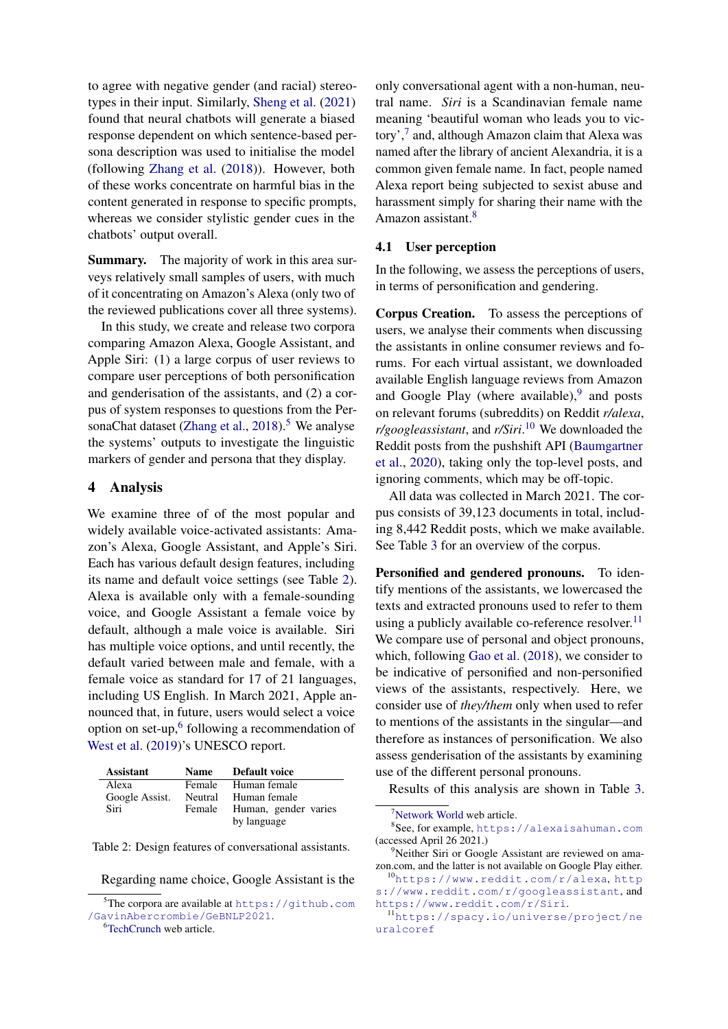to agree with negative gender (and racial) stereotypes in their input. Similarly, [Sheng et al.](#page-8-5) [\(2021\)](#page-8-5) found that neural chatbots will generate a biased response dependent on which sentence-based persona description was used to initialise the model (following [Zhang et al.](#page-8-6) [\(2018\)](#page-8-6)). However, both of these works concentrate on harmful bias in the content generated in response to specific prompts, whereas we consider stylistic gender cues in the chatbots' output overall.

Summary. The majority of work in this area surveys relatively small samples of users, with much of it concentrating on Amazon's Alexa (only two of the reviewed publications cover all three systems).

In this study, we create and release two corpora comparing Amazon Alexa, Google Assistant, and Apple Siri: (1) a large corpus of user reviews to compare user perceptions of both personification and genderisation of the assistants, and (2) a corpus of system responses to questions from the Per-sonaChat dataset [\(Zhang et al.,](#page-8-6)  $2018$ ).<sup>[5](#page-2-1)</sup> We analyse the systems' outputs to investigate the linguistic markers of gender and persona that they display.

### 4 Analysis

We examine three of of the most popular and widely available voice-activated assistants: Amazon's Alexa, Google Assistant, and Apple's Siri. Each has various default design features, including its name and default voice settings (see Table [2\)](#page-2-2). Alexa is available only with a female-sounding voice, and Google Assistant a female voice by default, although a male voice is available. Siri has multiple voice options, and until recently, the default varied between male and female, with a female voice as standard for 17 of 21 languages, including US English. In March 2021, Apple announced that, in future, users would select a voice option on set-up,<sup>[6](#page-2-3)</sup> following a recommendation of [West et al.](#page-8-0) [\(2019\)](#page-8-0)'s UNESCO report.

<span id="page-2-2"></span>

| <b>Assistant</b> | Name Default voice          |
|------------------|-----------------------------|
| Alexa            | Female Human female         |
| Google Assist.   | Neutral Human female        |
| Siri             | Female Human, gender varies |
|                  | by language                 |

Table 2: Design features of conversational assistants.

<span id="page-2-3"></span><sup>6</sup>[TechCrunch](#page-8-7) web article.

only conversational agent with a non-human, neutral name. *Siri* is a Scandinavian female name meaning 'beautiful woman who leads you to vic-tory',<sup>[7](#page-2-4)</sup> and, although Amazon claim that Alexa was named after the library of ancient Alexandria, it is a common given female name. In fact, people named Alexa report being subjected to sexist abuse and harassment simply for sharing their name with the Amazon assistant.<sup>[8](#page-2-5)</sup>

### <span id="page-2-0"></span>4.1 User perception

In the following, we assess the perceptions of users, in terms of personification and gendering.

Corpus Creation. To assess the perceptions of users, we analyse their comments when discussing the assistants in online consumer reviews and forums. For each virtual assistant, we downloaded available English language reviews from Amazon and Google Play (where available), $9$  and posts on relevant forums (subreddits) on Reddit *r/alexa*, *r/googleassistant*, and *r/Siri*. [10](#page-2-7) We downloaded the Reddit posts from the pushshift API [\(Baumgartner](#page-6-4) [et al.,](#page-6-4) [2020\)](#page-6-4), taking only the top-level posts, and ignoring comments, which may be off-topic.

All data was collected in March 2021. The corpus consists of 39,123 documents in total, including 8,442 Reddit posts, which we make available. See Table [3](#page-3-1) for an overview of the corpus.

Personified and gendered pronouns. To identify mentions of the assistants, we lowercased the texts and extracted pronouns used to refer to them using a publicly available co-reference resolver.<sup>[11](#page-2-8)</sup> We compare use of personal and object pronouns, which, following [Gao et al.](#page-7-0) [\(2018\)](#page-7-0), we consider to be indicative of personified and non-personified views of the assistants, respectively. Here, we consider use of *they/them* only when used to refer to mentions of the assistants in the singular—and therefore as instances of personification. We also assess genderisation of the assistants by examining use of the different personal pronouns.

Results of this analysis are shown in Table [3.](#page-3-1)

<span id="page-2-5"></span><span id="page-2-4"></span><sup>7</sup>[Network World](#page-7-12) web article.

Regarding name choice, Google Assistant is the

<span id="page-2-1"></span> $5$ The corpora are available at [https://github.com](https://github.com/GavinAbercrombie/GeBNLP2021) [/GavinAbercrombie/GeBNLP2021](https://github.com/GavinAbercrombie/GeBNLP2021).

<sup>8</sup> See, for example, <https://alexaisahuman.com> (accessed April 26 2021.)

<span id="page-2-6"></span><sup>&</sup>lt;sup>9</sup>Neither Siri or Google Assistant are reviewed on amazon.com, and the latter is not available on Google Play either.

<span id="page-2-7"></span><sup>10</sup><https://www.reddit.com/r/alexa>, [http](https://www.reddit.com/r/googleassistant) [s://www.reddit.com/r/googleassistant](https://www.reddit.com/r/googleassistant), and <https://www.reddit.com/r/Siri>.

<span id="page-2-8"></span><sup>11</sup>[https://spacy.io/universe/project/ne](https://spacy.io/universe/project/neuralcoref) [uralcoref](https://spacy.io/universe/project/neuralcoref)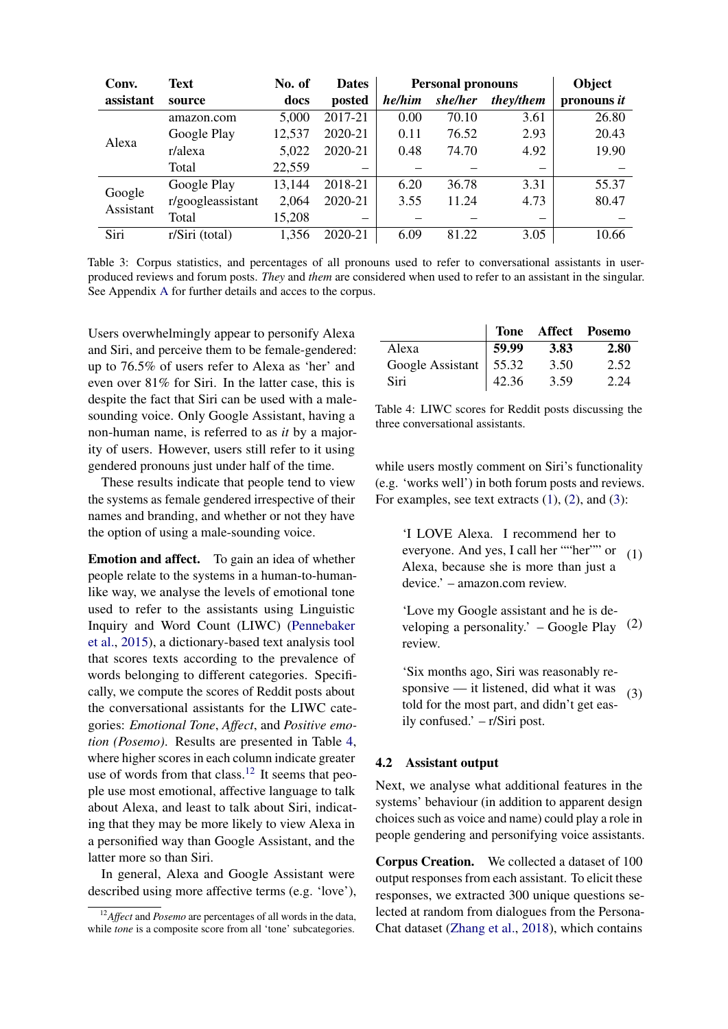<span id="page-3-1"></span>

| Conv.               | <b>Text</b>       | No. of | <b>Dates</b> |        | <b>Personal pronouns</b> |           | Object      |
|---------------------|-------------------|--------|--------------|--------|--------------------------|-----------|-------------|
| assistant           | source            | docs   | posted       | he/him | she/her                  | they/them | pronouns it |
| Alexa               | amazon.com        | 5,000  | 2017-21      | 0.00   | 70.10                    | 3.61      | 26.80       |
|                     | Google Play       | 12,537 | 2020-21      | 0.11   | 76.52                    | 2.93      | 20.43       |
|                     | r/alexa           | 5,022  | 2020-21      | 0.48   | 74.70                    | 4.92      | 19.90       |
|                     | Total             | 22,559 |              |        |                          |           |             |
| Google<br>Assistant | Google Play       | 13,144 | 2018-21      | 6.20   | 36.78                    | 3.31      | 55.37       |
|                     | r/googleassistant | 2,064  | 2020-21      | 3.55   | 11.24                    | 4.73      | 80.47       |
|                     | Total             | 15,208 |              |        |                          |           |             |
| Siri                | r/Siri (total)    | 1,356  | 2020-21      | 6.09   | 81.22                    | 3.05      | 10.66       |

Table 3: Corpus statistics, and percentages of all pronouns used to refer to conversational assistants in userproduced reviews and forum posts. *They* and *them* are considered when used to refer to an assistant in the singular. See Appendix [A](#page-8-8) for further details and acces to the corpus.

Users overwhelmingly appear to personify Alexa and Siri, and perceive them to be female-gendered: up to 76.5% of users refer to Alexa as 'her' and even over 81% for Siri. In the latter case, this is despite the fact that Siri can be used with a malesounding voice. Only Google Assistant, having a non-human name, is referred to as *it* by a majority of users. However, users still refer to it using gendered pronouns just under half of the time.

These results indicate that people tend to view the systems as female gendered irrespective of their names and branding, and whether or not they have the option of using a male-sounding voice.

Emotion and affect. To gain an idea of whether people relate to the systems in a human-to-humanlike way, we analyse the levels of emotional tone used to refer to the assistants using Linguistic Inquiry and Word Count (LIWC) [\(Pennebaker](#page-7-13) [et al.,](#page-7-13) [2015\)](#page-7-13), a dictionary-based text analysis tool that scores texts according to the prevalence of words belonging to different categories. Specifically, we compute the scores of Reddit posts about the conversational assistants for the LIWC categories: *Emotional Tone*, *Affect*, and *Positive emotion (Posemo)*. Results are presented in Table [4,](#page-3-2) where higher scores in each column indicate greater use of words from that class.[12](#page-3-3) It seems that people use most emotional, affective language to talk about Alexa, and least to talk about Siri, indicating that they may be more likely to view Alexa in a personified way than Google Assistant, and the latter more so than Siri.

In general, Alexa and Google Assistant were described using more affective terms (e.g. 'love'),

<span id="page-3-2"></span>

|                          |       |      | Tone Affect Posemo |
|--------------------------|-------|------|--------------------|
| Alexa                    | 59.99 | 3.83 | 2.80               |
| Google Assistant   55.32 |       | 3.50 | 2.52               |
| Siri                     | 42.36 | 3.59 | 2.24               |

Table 4: LIWC scores for Reddit posts discussing the three conversational assistants.

while users mostly comment on Siri's functionality (e.g. 'works well') in both forum posts and reviews. For examples, see text extracts  $(1)$ ,  $(2)$ , and  $(3)$ :

<span id="page-3-4"></span>'I LOVE Alexa. I recommend her to everyone. And yes, I call her ""her"" or Alexa, because she is more than just a device.' – amazon.com review. (1)

<span id="page-3-5"></span>'Love my Google assistant and he is developing a personality.' – Google Play review. (2)

<span id="page-3-6"></span>'Six months ago, Siri was reasonably responsive — it listened, did what it was told for the most part, and didn't get easily confused.' – r/Siri post.  $(3)$ 

# <span id="page-3-0"></span>4.2 Assistant output

Next, we analyse what additional features in the systems' behaviour (in addition to apparent design choices such as voice and name) could play a role in people gendering and personifying voice assistants.

Corpus Creation. We collected a dataset of 100 output responses from each assistant. To elicit these responses, we extracted 300 unique questions selected at random from dialogues from the Persona-Chat dataset [\(Zhang et al.,](#page-8-6) [2018\)](#page-8-6), which contains

<span id="page-3-3"></span><sup>12</sup>*Affect* and *Posemo* are percentages of all words in the data, while *tone* is a composite score from all 'tone' subcategories.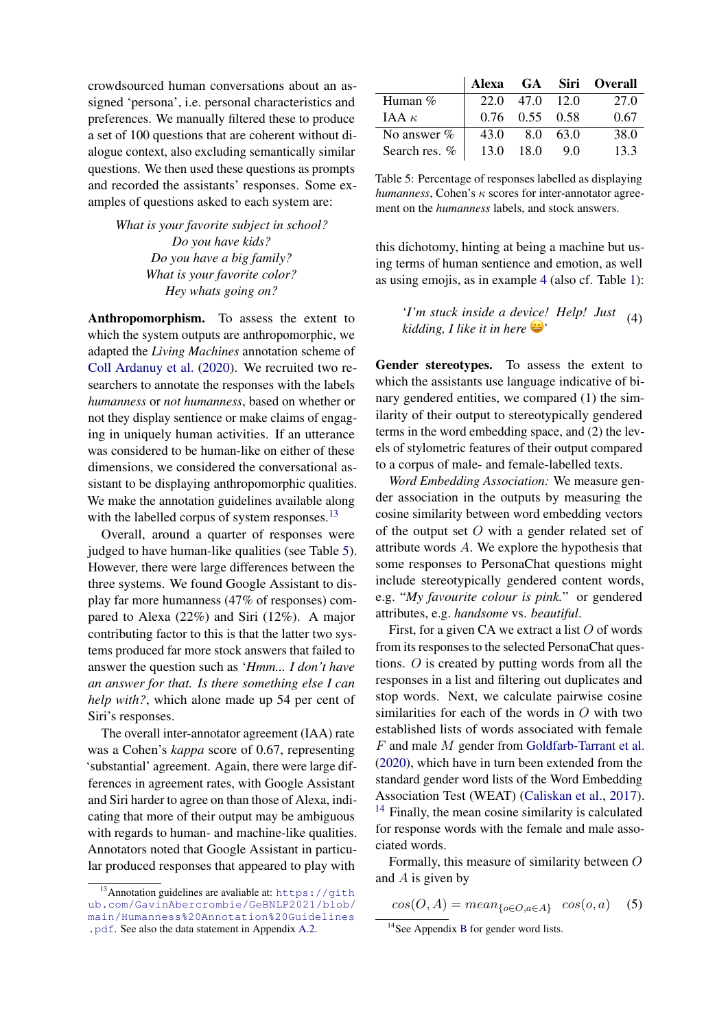crowdsourced human conversations about an assigned 'persona', i.e. personal characteristics and preferences. We manually filtered these to produce a set of 100 questions that are coherent without dialogue context, also excluding semantically similar questions. We then used these questions as prompts and recorded the assistants' responses. Some examples of questions asked to each system are:

> *What is your favorite subject in school? Do you have kids? Do you have a big family? What is your favorite color? Hey whats going on?*

Anthropomorphism. To assess the extent to which the system outputs are anthropomorphic, we adapted the *Living Machines* annotation scheme of [Coll Ardanuy et al.](#page-6-3) [\(2020\)](#page-6-3). We recruited two researchers to annotate the responses with the labels *humanness* or *not humanness*, based on whether or not they display sentience or make claims of engaging in uniquely human activities. If an utterance was considered to be human-like on either of these dimensions, we considered the conversational assistant to be displaying anthropomorphic qualities. We make the annotation guidelines available along with the labelled corpus of system responses.<sup>[13](#page-4-0)</sup>

Overall, around a quarter of responses were judged to have human-like qualities (see Table [5\)](#page-4-1). However, there were large differences between the three systems. We found Google Assistant to display far more humanness (47% of responses) compared to Alexa (22%) and Siri (12%). A major contributing factor to this is that the latter two systems produced far more stock answers that failed to answer the question such as '*Hmm... I don't have an answer for that. Is there something else I can help with?*, which alone made up 54 per cent of Siri's responses.

The overall inter-annotator agreement (IAA) rate was a Cohen's *kappa* score of 0.67, representing 'substantial' agreement. Again, there were large differences in agreement rates, with Google Assistant and Siri harder to agree on than those of Alexa, indicating that more of their output may be ambiguous with regards to human- and machine-like qualities. Annotators noted that Google Assistant in particular produced responses that appeared to play with

<span id="page-4-1"></span>

|               |      |                      |          | Alexa GA Siri Overall |
|---------------|------|----------------------|----------|-----------------------|
| Human $%$     | 22.0 | 47.0 12.0            |          | 27.0                  |
| IAA $\kappa$  |      | $0.76$ $0.55$ $0.58$ |          | 0.67                  |
| No answer %   | 43.0 |                      | 8.0 63.0 | 38.0                  |
| Search res. % | 13.0 | -18.0                | 9.0      | 13.3                  |

Table 5: Percentage of responses labelled as displaying  $humannes$ , Cohen's  $\kappa$  scores for inter-annotator agreement on the *humanness* labels, and stock answers.

this dichotomy, hinting at being a machine but using terms of human sentience and emotion, as well as using emojis, as in example [4](#page-4-2) (also cf. Table [1\)](#page-0-3):

> <span id="page-4-2"></span>'*I'm stuck inside a device! Help! Just kidding, I like it in here* '  $(4)$

Gender stereotypes. To assess the extent to which the assistants use language indicative of binary gendered entities, we compared (1) the similarity of their output to stereotypically gendered terms in the word embedding space, and (2) the levels of stylometric features of their output compared to a corpus of male- and female-labelled texts.

*Word Embedding Association:* We measure gender association in the outputs by measuring the cosine similarity between word embedding vectors of the output set  $O$  with a gender related set of attribute words A. We explore the hypothesis that some responses to PersonaChat questions might include stereotypically gendered content words, e.g. "*My favourite colour is pink.*" or gendered attributes, e.g. *handsome* vs. *beautiful*.

First, for a given CA we extract a list  $O$  of words from its responses to the selected PersonaChat questions. O is created by putting words from all the responses in a list and filtering out duplicates and stop words. Next, we calculate pairwise cosine similarities for each of the words in O with two established lists of words associated with female F and male M gender from [Goldfarb-Tarrant et al.](#page-7-14) [\(2020\)](#page-7-14), which have in turn been extended from the standard gender word lists of the Word Embedding Association Test (WEAT) [\(Caliskan et al.,](#page-6-5) [2017\)](#page-6-5).  $14$  Finally, the mean cosine similarity is calculated for response words with the female and male associated words.

Formally, this measure of similarity between O and  $A$  is given by

 $cos(O, A) = mean_{\{o \in O, a \in A\}} cos(o, a)$  (5)

<span id="page-4-0"></span> $13$ Annotation guidelines are avaliable at: [https://gith](https://github.com/GavinAbercrombie/GeBNLP2021/blob/main/Humanness%20Annotation%20Guidelines.pdf) [ub.com/GavinAbercrombie/GeBNLP2021/blob/](https://github.com/GavinAbercrombie/GeBNLP2021/blob/main/Humanness%20Annotation%20Guidelines.pdf) [main/Humanness%20Annotation%20Guidelines](https://github.com/GavinAbercrombie/GeBNLP2021/blob/main/Humanness%20Annotation%20Guidelines.pdf) [.pdf](https://github.com/GavinAbercrombie/GeBNLP2021/blob/main/Humanness%20Annotation%20Guidelines.pdf). See also the data statement in Appendix [A.2.](#page-8-9)

<span id="page-4-3"></span><sup>&</sup>lt;sup>14</sup>See Appendix [B](#page-8-10) for gender word lists.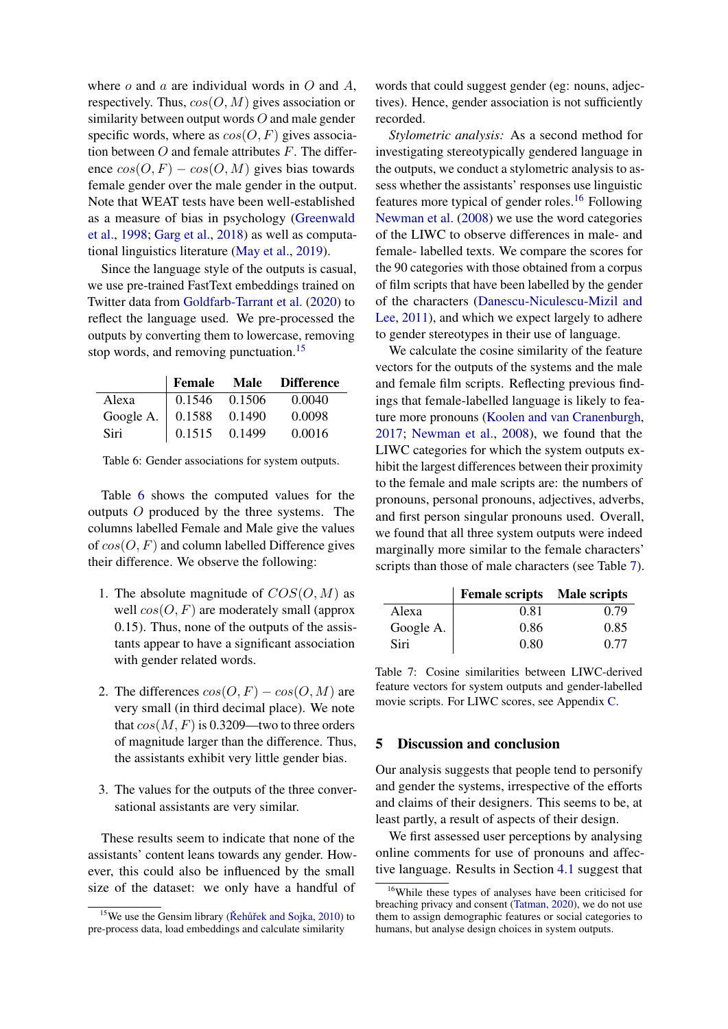where  $o$  and  $a$  are individual words in  $O$  and  $A$ , respectively. Thus,  $cos(O, M)$  gives association or similarity between output words  $O$  and male gender specific words, where as  $cos(O, F)$  gives association between  $O$  and female attributes  $F$ . The difference  $cos(O, F) - cos(O, M)$  gives bias towards female gender over the male gender in the output. Note that WEAT tests have been well-established as a measure of bias in psychology [\(Greenwald](#page-7-15) [et al.,](#page-7-15) [1998;](#page-7-15) [Garg et al.,](#page-7-16) [2018\)](#page-7-16) as well as computational linguistics literature [\(May et al.,](#page-7-17) [2019\)](#page-7-17).

Since the language style of the outputs is casual, we use pre-trained FastText embeddings trained on Twitter data from [Goldfarb-Tarrant et al.](#page-7-14) [\(2020\)](#page-7-14) to reflect the language used. We pre-processed the outputs by converting them to lowercase, removing stop words, and removing punctuation.<sup>[15](#page-5-0)</sup>

<span id="page-5-1"></span>

|                          |                      |        | Female Male Difference |
|--------------------------|----------------------|--------|------------------------|
| Alexa                    | $\sqrt{0.1546}$      | 0.1506 | 0.0040                 |
| Google A. $\vert 0.1588$ |                      | 0.1490 | 0.0098                 |
| Siri                     | $\vert 0.1515 \vert$ | 0.1499 | 0.0016                 |

Table 6: Gender associations for system outputs.

Table [6](#page-5-1) shows the computed values for the outputs O produced by the three systems. The columns labelled Female and Male give the values of  $cos(O, F)$  and column labelled Difference gives their difference. We observe the following:

- 1. The absolute magnitude of  $COS(O, M)$  as well  $cos(O, F)$  are moderately small (approx 0.15). Thus, none of the outputs of the assistants appear to have a significant association with gender related words.
- 2. The differences  $cos(O, F) cos(O, M)$  are very small (in third decimal place). We note that  $cos(M, F)$  is 0.3209—two to three orders of magnitude larger than the difference. Thus, the assistants exhibit very little gender bias.
- 3. The values for the outputs of the three conversational assistants are very similar.

These results seem to indicate that none of the assistants' content leans towards any gender. However, this could also be influenced by the small size of the dataset: we only have a handful of words that could suggest gender (eg: nouns, adjectives). Hence, gender association is not sufficiently recorded.

*Stylometric analysis:* As a second method for investigating stereotypically gendered language in the outputs, we conduct a stylometric analysis to assess whether the assistants' responses use linguistic features more typical of gender roles.<sup>[16](#page-5-2)</sup> Following [Newman et al.](#page-7-18) [\(2008\)](#page-7-18) we use the word categories of the LIWC to observe differences in male- and female- labelled texts. We compare the scores for the 90 categories with those obtained from a corpus of film scripts that have been labelled by the gender of the characters [\(Danescu-Niculescu-Mizil and](#page-7-19) [Lee,](#page-7-19) [2011\)](#page-7-19), and which we expect largely to adhere to gender stereotypes in their use of language.

We calculate the cosine similarity of the feature vectors for the outputs of the systems and the male and female film scripts. Reflecting previous findings that female-labelled language is likely to feature more pronouns [\(Koolen and van Cranenburgh,](#page-7-20) [2017;](#page-7-20) [Newman et al.,](#page-7-18) [2008\)](#page-7-18), we found that the LIWC categories for which the system outputs exhibit the largest differences between their proximity to the female and male scripts are: the numbers of pronouns, personal pronouns, adjectives, adverbs, and first person singular pronouns used. Overall, we found that all three system outputs were indeed marginally more similar to the female characters' scripts than those of male characters (see Table [7\)](#page-5-3).

<span id="page-5-3"></span>

|           | Female scripts Male scripts |      |
|-----------|-----------------------------|------|
| Alexa     | 0.81                        | 0.79 |
| Google A. | 0.86                        | 0.85 |
| Siri      | 0.80                        | 0.77 |

Table 7: Cosine similarities between LIWC-derived feature vectors for system outputs and gender-labelled movie scripts. For LIWC scores, see Appendix [C.](#page-9-0)

### 5 Discussion and conclusion

Our analysis suggests that people tend to personify and gender the systems, irrespective of the efforts and claims of their designers. This seems to be, at least partly, a result of aspects of their design.

We first assessed user perceptions by analysing online comments for use of pronouns and affective language. Results in Section [4.1](#page-2-0) suggest that

<span id="page-5-0"></span> $15$ We use the Gensim library (Řehůřek and Sojka, [2010\)](#page-8-11) to pre-process data, load embeddings and calculate similarity

<span id="page-5-2"></span><sup>16</sup>While these types of analyses have been criticised for breaching privacy and consent [\(Tatman,](#page-8-12) [2020\)](#page-8-12), we do not use them to assign demographic features or social categories to humans, but analyse design choices in system outputs.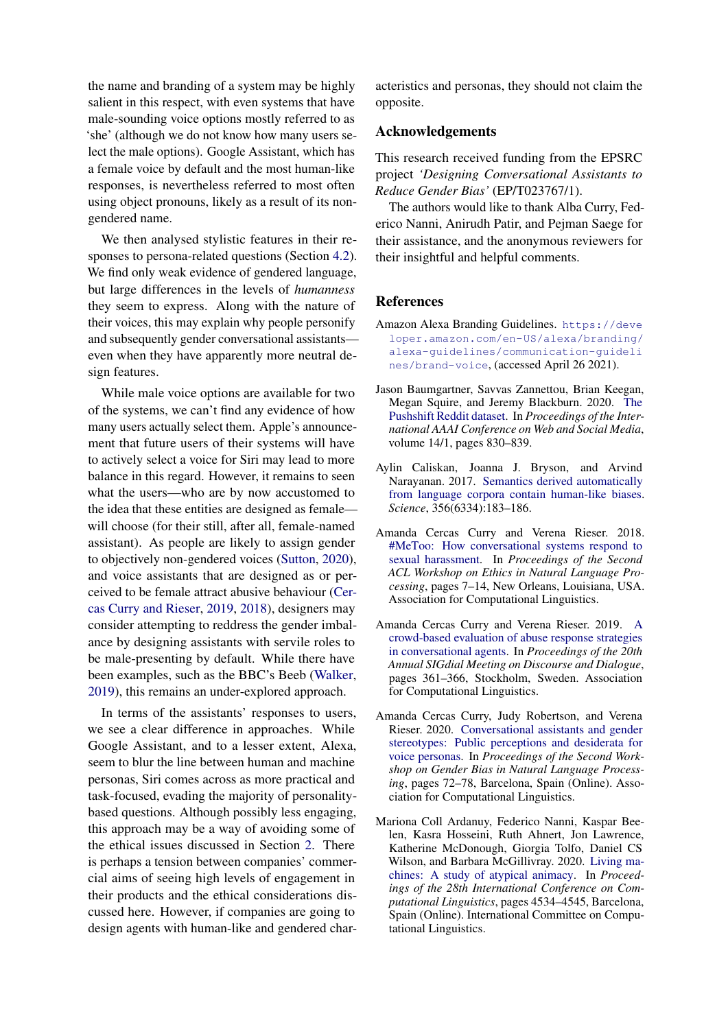the name and branding of a system may be highly salient in this respect, with even systems that have male-sounding voice options mostly referred to as 'she' (although we do not know how many users select the male options). Google Assistant, which has a female voice by default and the most human-like responses, is nevertheless referred to most often using object pronouns, likely as a result of its nongendered name.

We then analysed stylistic features in their responses to persona-related questions (Section [4.2\)](#page-3-0). We find only weak evidence of gendered language, but large differences in the levels of *humanness* they seem to express. Along with the nature of their voices, this may explain why people personify and subsequently gender conversational assistants even when they have apparently more neutral design features.

While male voice options are available for two of the systems, we can't find any evidence of how many users actually select them. Apple's announcement that future users of their systems will have to actively select a voice for Siri may lead to more balance in this regard. However, it remains to seen what the users—who are by now accustomed to the idea that these entities are designed as female will choose (for their still, after all, female-named assistant). As people are likely to assign gender to objectively non-gendered voices [\(Sutton,](#page-8-3) [2020\)](#page-8-3), and voice assistants that are designed as or perceived to be female attract abusive behaviour [\(Cer](#page-6-6)[cas Curry and Rieser,](#page-6-6) [2019,](#page-6-6) [2018\)](#page-6-0), designers may consider attempting to reddress the gender imbalance by designing assistants with servile roles to be male-presenting by default. While there have been examples, such as the BBC's Beeb [\(Walker,](#page-8-13) [2019\)](#page-8-13), this remains an under-explored approach.

In terms of the assistants' responses to users, we see a clear difference in approaches. While Google Assistant, and to a lesser extent, Alexa, seem to blur the line between human and machine personas, Siri comes across as more practical and task-focused, evading the majority of personalitybased questions. Although possibly less engaging, this approach may be a way of avoiding some of the ethical issues discussed in Section [2.](#page-1-0) There is perhaps a tension between companies' commercial aims of seeing high levels of engagement in their products and the ethical considerations discussed here. However, if companies are going to design agents with human-like and gendered char-

acteristics and personas, they should not claim the opposite.

# Acknowledgements

This research received funding from the EPSRC project *'Designing Conversational Assistants to Reduce Gender Bias'* (EP/T023767/1).

The authors would like to thank Alba Curry, Federico Nanni, Anirudh Patir, and Pejman Saege for their assistance, and the anonymous reviewers for their insightful and helpful comments.

### References

- <span id="page-6-1"></span>Amazon Alexa Branding Guidelines. [https://deve](https://developer.amazon.com/en-US/alexa/branding/alexa-guidelines/communication-guidelines/brand-voice) [loper.amazon.com/en-US/alexa/branding/](https://developer.amazon.com/en-US/alexa/branding/alexa-guidelines/communication-guidelines/brand-voice) [alexa-guidelines/communication-guideli](https://developer.amazon.com/en-US/alexa/branding/alexa-guidelines/communication-guidelines/brand-voice) [nes/brand-voice](https://developer.amazon.com/en-US/alexa/branding/alexa-guidelines/communication-guidelines/brand-voice), (accessed April 26 2021).
- <span id="page-6-4"></span>Jason Baumgartner, Savvas Zannettou, Brian Keegan, Megan Squire, and Jeremy Blackburn. 2020. [The](https://ojs.aaai.org/index.php/ICWSM/article/view/7347) [Pushshift Reddit dataset.](https://ojs.aaai.org/index.php/ICWSM/article/view/7347) In *Proceedings of the International AAAI Conference on Web and Social Media*, volume 14/1, pages 830–839.
- <span id="page-6-5"></span>Aylin Caliskan, Joanna J. Bryson, and Arvind Narayanan. 2017. [Semantics derived automatically](https://doi.org/10.1126/science.aal4230) [from language corpora contain human-like biases.](https://doi.org/10.1126/science.aal4230) *Science*, 356(6334):183–186.
- <span id="page-6-0"></span>Amanda Cercas Curry and Verena Rieser. 2018. [#MeToo: How conversational systems respond to](https://doi.org/10.18653/v1/W18-0802) [sexual harassment.](https://doi.org/10.18653/v1/W18-0802) In *Proceedings of the Second ACL Workshop on Ethics in Natural Language Processing*, pages 7–14, New Orleans, Louisiana, USA. Association for Computational Linguistics.
- <span id="page-6-6"></span>Amanda Cercas Curry and Verena Rieser. 2019. [A](https://doi.org/10.18653/v1/W19-5942) [crowd-based evaluation of abuse response strategies](https://doi.org/10.18653/v1/W19-5942) [in conversational agents.](https://doi.org/10.18653/v1/W19-5942) In *Proceedings of the 20th Annual SIGdial Meeting on Discourse and Dialogue*, pages 361–366, Stockholm, Sweden. Association for Computational Linguistics.
- <span id="page-6-2"></span>Amanda Cercas Curry, Judy Robertson, and Verena Rieser. 2020. [Conversational assistants and gender](https://www.aclweb.org/anthology/2020.gebnlp-1.7) [stereotypes: Public perceptions and desiderata for](https://www.aclweb.org/anthology/2020.gebnlp-1.7) [voice personas.](https://www.aclweb.org/anthology/2020.gebnlp-1.7) In *Proceedings of the Second Workshop on Gender Bias in Natural Language Processing*, pages 72–78, Barcelona, Spain (Online). Association for Computational Linguistics.
- <span id="page-6-3"></span>Mariona Coll Ardanuy, Federico Nanni, Kaspar Beelen, Kasra Hosseini, Ruth Ahnert, Jon Lawrence, Katherine McDonough, Giorgia Tolfo, Daniel CS Wilson, and Barbara McGillivray. 2020. [Living ma](https://www.aclweb.org/anthology/2020.coling-main.400)[chines: A study of atypical animacy.](https://www.aclweb.org/anthology/2020.coling-main.400) In *Proceedings of the 28th International Conference on Computational Linguistics*, pages 4534–4545, Barcelona, Spain (Online). International Committee on Computational Linguistics.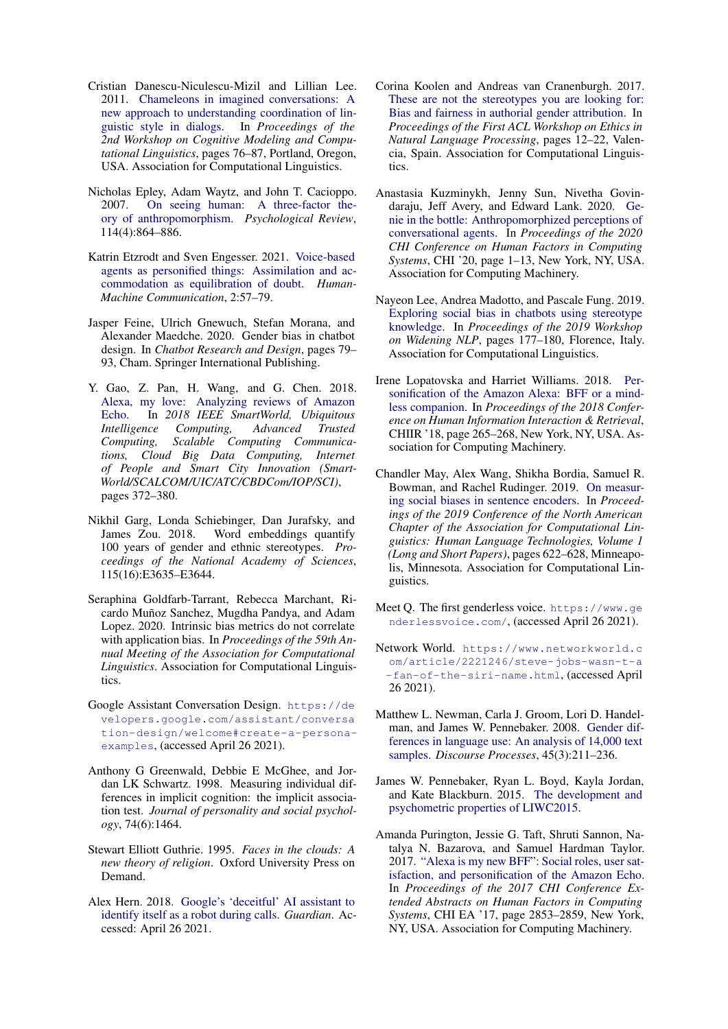- <span id="page-7-19"></span>Cristian Danescu-Niculescu-Mizil and Lillian Lee. 2011. [Chameleons in imagined conversations: A](https://www.aclweb.org/anthology/W11-0609) [new approach to understanding coordination of lin](https://www.aclweb.org/anthology/W11-0609)[guistic style in dialogs.](https://www.aclweb.org/anthology/W11-0609) In *Proceedings of the 2nd Workshop on Cognitive Modeling and Computational Linguistics*, pages 76–87, Portland, Oregon, USA. Association for Computational Linguistics.
- <span id="page-7-3"></span>Nicholas Epley, Adam Waytz, and John T. Cacioppo. 2007. [On seeing human: A three-factor the](https://doi.org/https://doi.org/10.1037/0033-295X.114.4.864)[ory of anthropomorphism.](https://doi.org/https://doi.org/10.1037/0033-295X.114.4.864) *Psychological Review*, 114(4):864–886.
- <span id="page-7-4"></span>Katrin Etzrodt and Sven Engesser. 2021. [Voice-based](https://doi.org/https://doi.org/10.30658/hmc.2.3) [agents as personified things: Assimilation and ac](https://doi.org/https://doi.org/10.30658/hmc.2.3)[commodation as equilibration of doubt.](https://doi.org/https://doi.org/10.30658/hmc.2.3) *Human-Machine Communication*, 2:57–79.
- <span id="page-7-10"></span>Jasper Feine, Ulrich Gnewuch, Stefan Morana, and Alexander Maedche. 2020. Gender bias in chatbot design. In *Chatbot Research and Design*, pages 79– 93, Cham. Springer International Publishing.
- <span id="page-7-0"></span>Y. Gao, Z. Pan, H. Wang, and G. Chen. 2018. [Alexa, my love: Analyzing reviews of Amazon](https://doi.org/10.1109/SmartWorld.2018.00094) [Echo.](https://doi.org/10.1109/SmartWorld.2018.00094) In *2018 IEEE SmartWorld, Ubiquitous Intelligence Computing, Advanced Trusted Computing, Scalable Computing Communications, Cloud Big Data Computing, Internet of People and Smart City Innovation (Smart-World/SCALCOM/UIC/ATC/CBDCom/IOP/SCI)*, pages 372–380.
- <span id="page-7-16"></span>Nikhil Garg, Londa Schiebinger, Dan Jurafsky, and James Zou. 2018. Word embeddings quantify 100 years of gender and ethnic stereotypes. *Proceedings of the National Academy of Sciences*, 115(16):E3635–E3644.
- <span id="page-7-14"></span>Seraphina Goldfarb-Tarrant, Rebecca Marchant, Ricardo Muñoz Sanchez, Mugdha Pandya, and Adam Lopez. 2020. Intrinsic bias metrics do not correlate with application bias. In *Proceedings of the 59th Annual Meeting of the Association for Computational Linguistics*. Association for Computational Linguistics.
- <span id="page-7-1"></span>Google Assistant Conversation Design. [https://de](https://developers.google.com/assistant/conversation-design/welcome#create-a-persona-examples) [velopers.google.com/assistant/conversa](https://developers.google.com/assistant/conversation-design/welcome#create-a-persona-examples) [tion-design/welcome#create-a-persona](https://developers.google.com/assistant/conversation-design/welcome#create-a-persona-examples)[examples](https://developers.google.com/assistant/conversation-design/welcome#create-a-persona-examples), (accessed April 26 2021).
- <span id="page-7-15"></span>Anthony G Greenwald, Debbie E McGhee, and Jordan LK Schwartz. 1998. Measuring individual differences in implicit cognition: the implicit association test. *Journal of personality and social psychology*, 74(6):1464.
- <span id="page-7-5"></span>Stewart Elliott Guthrie. 1995. *Faces in the clouds: A new theory of religion*. Oxford University Press on Demand.
- <span id="page-7-2"></span>Alex Hern. 2018. [Google's 'deceitful' AI assistant to](https://www.theguardian.com/technology/2018/may/11/google-duplex-ai-identify-itself-as-robot-during-calls) [identify itself as a robot during calls.](https://www.theguardian.com/technology/2018/may/11/google-duplex-ai-identify-itself-as-robot-during-calls) *Guardian*. Accessed: April 26 2021.
- <span id="page-7-20"></span>Corina Koolen and Andreas van Cranenburgh. 2017. [These are not the stereotypes you are looking for:](https://doi.org/10.18653/v1/W17-1602) [Bias and fairness in authorial gender attribution.](https://doi.org/10.18653/v1/W17-1602) In *Proceedings of the First ACL Workshop on Ethics in Natural Language Processing*, pages 12–22, Valencia, Spain. Association for Computational Linguistics.
- <span id="page-7-7"></span>Anastasia Kuzminykh, Jenny Sun, Nivetha Govindaraju, Jeff Avery, and Edward Lank. 2020. [Ge](https://doi.org/10.1145/3313831.3376665)[nie in the bottle: Anthropomorphized perceptions of](https://doi.org/10.1145/3313831.3376665) [conversational agents.](https://doi.org/10.1145/3313831.3376665) In *Proceedings of the 2020 CHI Conference on Human Factors in Computing Systems*, CHI '20, page 1–13, New York, NY, USA. Association for Computing Machinery.
- <span id="page-7-11"></span>Nayeon Lee, Andrea Madotto, and Pascale Fung. 2019. [Exploring social bias in chatbots using stereotype](https://www.aclweb.org/anthology/W19-3655) [knowledge.](https://www.aclweb.org/anthology/W19-3655) In *Proceedings of the 2019 Workshop on Widening NLP*, pages 177–180, Florence, Italy. Association for Computational Linguistics.
- <span id="page-7-8"></span>Irene Lopatovska and Harriet Williams. 2018. [Per](https://doi.org/10.1145/3176349.3176868)[sonification of the Amazon Alexa: BFF or a mind](https://doi.org/10.1145/3176349.3176868)[less companion.](https://doi.org/10.1145/3176349.3176868) In *Proceedings of the 2018 Conference on Human Information Interaction & Retrieval*, CHIIR '18, page 265–268, New York, NY, USA. Association for Computing Machinery.
- <span id="page-7-17"></span>Chandler May, Alex Wang, Shikha Bordia, Samuel R. Bowman, and Rachel Rudinger. 2019. [On measur](https://doi.org/10.18653/v1/N19-1063)[ing social biases in sentence encoders.](https://doi.org/10.18653/v1/N19-1063) In *Proceedings of the 2019 Conference of the North American Chapter of the Association for Computational Linguistics: Human Language Technologies, Volume 1 (Long and Short Papers)*, pages 622–628, Minneapolis, Minnesota. Association for Computational Linguistics.
- <span id="page-7-6"></span>Meet Q. The first genderless voice. [https://www.ge](https://www.genderlessvoice.com/) [nderlessvoice.com/](https://www.genderlessvoice.com/), (accessed April 26 2021).
- <span id="page-7-12"></span>Network World. [https://www.networkworld.c](https://www.networkworld.com/article/2221246/steve-jobs-wasn-t-a-fan-of-the-siri-name.html) [om/article/2221246/steve-jobs-wasn-t-a](https://www.networkworld.com/article/2221246/steve-jobs-wasn-t-a-fan-of-the-siri-name.html) [-fan-of-the-siri-name.html](https://www.networkworld.com/article/2221246/steve-jobs-wasn-t-a-fan-of-the-siri-name.html), (accessed April 26 2021).
- <span id="page-7-18"></span>Matthew L. Newman, Carla J. Groom, Lori D. Handelman, and James W. Pennebaker. 2008. [Gender dif](https://doi.org/10.1080/01638530802073712)[ferences in language use: An analysis of 14,000 text](https://doi.org/10.1080/01638530802073712) [samples.](https://doi.org/10.1080/01638530802073712) *Discourse Processes*, 45(3):211–236.
- <span id="page-7-13"></span>James W. Pennebaker, Ryan L. Boyd, Kayla Jordan, and Kate Blackburn. 2015. [The development and](https://doi.org/DOI:10.15781/T29G6Z) [psychometric properties of LIWC2015.](https://doi.org/DOI:10.15781/T29G6Z)
- <span id="page-7-9"></span>Amanda Purington, Jessie G. Taft, Shruti Sannon, Natalya N. Bazarova, and Samuel Hardman Taylor. 2017. ["Alexa is my new BFF": Social roles, user sat](https://doi.org/10.1145/3027063.3053246)[isfaction, and personification of the Amazon Echo.](https://doi.org/10.1145/3027063.3053246) In *Proceedings of the 2017 CHI Conference Extended Abstracts on Human Factors in Computing Systems*, CHI EA '17, page 2853–2859, New York, NY, USA. Association for Computing Machinery.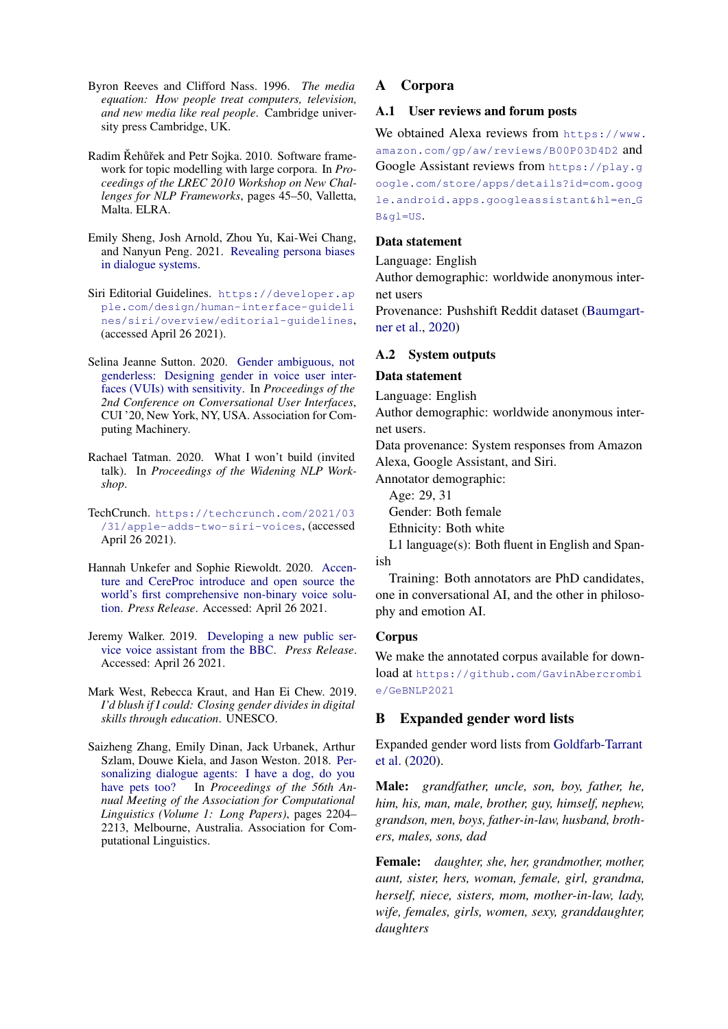- <span id="page-8-2"></span>Byron Reeves and Clifford Nass. 1996. *The media equation: How people treat computers, television, and new media like real people*. Cambridge university press Cambridge, UK.
- <span id="page-8-11"></span>Radim Řehůřek and Petr Sojka. 2010. Software framework for topic modelling with large corpora. In *Proceedings of the LREC 2010 Workshop on New Challenges for NLP Frameworks*, pages 45–50, Valletta, Malta. ELRA.
- <span id="page-8-5"></span>Emily Sheng, Josh Arnold, Zhou Yu, Kai-Wei Chang, and Nanyun Peng. 2021. [Revealing persona biases](http://arxiv.org/abs/2104.08728) [in dialogue systems.](http://arxiv.org/abs/2104.08728)
- <span id="page-8-1"></span>Siri Editorial Guidelines. [https://developer.ap](https://developer.apple.com/design/human-interface-guidelines/siri/overview/editorial-guidelines) [ple.com/design/human-interface-guideli](https://developer.apple.com/design/human-interface-guidelines/siri/overview/editorial-guidelines) [nes/siri/overview/editorial-guidelines](https://developer.apple.com/design/human-interface-guidelines/siri/overview/editorial-guidelines), (accessed April 26 2021).
- <span id="page-8-3"></span>Selina Jeanne Sutton. 2020. [Gender ambiguous, not](https://doi.org/10.1145/3405755.3406123) [genderless: Designing gender in voice user inter](https://doi.org/10.1145/3405755.3406123)[faces \(VUIs\) with sensitivity.](https://doi.org/10.1145/3405755.3406123) In *Proceedings of the 2nd Conference on Conversational User Interfaces*, CUI '20, New York, NY, USA. Association for Computing Machinery.
- <span id="page-8-12"></span>Rachael Tatman. 2020. What I won't build (invited talk). In *Proceedings of the Widening NLP Workshop*.
- <span id="page-8-7"></span>TechCrunch. [https://techcrunch.com/2021/03](https://techcrunch.com/2021/03/31/apple-adds-two-siri-voices) [/31/apple-adds-two-siri-voices](https://techcrunch.com/2021/03/31/apple-adds-two-siri-voices), (accessed April 26 2021).
- <span id="page-8-4"></span>Hannah Unkefer and Sophie Riewoldt. 2020. [Accen](https://newsroom.accenture.com/news/accenture-and-cereproc-introduce-and-open-source-the-worlds-first-comprehensive-non-binary-voice-solution.tekpdf)[ture and CereProc introduce and open source the](https://newsroom.accenture.com/news/accenture-and-cereproc-introduce-and-open-source-the-worlds-first-comprehensive-non-binary-voice-solution.tekpdf) [world's first comprehensive non-binary voice solu](https://newsroom.accenture.com/news/accenture-and-cereproc-introduce-and-open-source-the-worlds-first-comprehensive-non-binary-voice-solution.tekpdf)[tion.](https://newsroom.accenture.com/news/accenture-and-cereproc-introduce-and-open-source-the-worlds-first-comprehensive-non-binary-voice-solution.tekpdf) *Press Release*. Accessed: April 26 2021.
- <span id="page-8-13"></span>Jeremy Walker. 2019. [Developing a new public ser](https://www.bbc.co.uk/blogs/aboutthebbc/entries/76ba56a5-d260-4e6b-a81e-11b962737a42)[vice voice assistant from the BBC.](https://www.bbc.co.uk/blogs/aboutthebbc/entries/76ba56a5-d260-4e6b-a81e-11b962737a42) *Press Release*. Accessed: April 26 2021.
- <span id="page-8-0"></span>Mark West, Rebecca Kraut, and Han Ei Chew. 2019. *I'd blush if I could: Closing gender divides in digital skills through education*. UNESCO.
- <span id="page-8-6"></span>Saizheng Zhang, Emily Dinan, Jack Urbanek, Arthur Szlam, Douwe Kiela, and Jason Weston. 2018. [Per](https://doi.org/10.18653/v1/P18-1205)[sonalizing dialogue agents: I have a dog, do you](https://doi.org/10.18653/v1/P18-1205) [have pets too?](https://doi.org/10.18653/v1/P18-1205) In *Proceedings of the 56th Annual Meeting of the Association for Computational Linguistics (Volume 1: Long Papers)*, pages 2204– 2213, Melbourne, Australia. Association for Computational Linguistics.

# <span id="page-8-8"></span>A Corpora

### A.1 User reviews and forum posts

We obtained Alexa reviews from [https://www.](https://www.amazon.com/gp/aw/reviews/B00P03D4D2) [amazon.com/gp/aw/reviews/B00P03D4D2](https://www.amazon.com/gp/aw/reviews/B00P03D4D2) and Google Assistant reviews from [https://play.g](https://play.google.com/store/apps/details?id=com.google.android.apps.googleassistant&hl=en_GB&gl=US) [oogle.com/store/apps/details?id=com.goog](https://play.google.com/store/apps/details?id=com.google.android.apps.googleassistant&hl=en_GB&gl=US) [le.android.apps.googleassistant&hl=en](https://play.google.com/store/apps/details?id=com.google.android.apps.googleassistant&hl=en_GB&gl=US) G [B&gl=US](https://play.google.com/store/apps/details?id=com.google.android.apps.googleassistant&hl=en_GB&gl=US).

### Data statement

Language: English

Author demographic: worldwide anonymous internet users

Provenance: Pushshift Reddit dataset [\(Baumgart](#page-6-4)[ner et al.,](#page-6-4) [2020\)](#page-6-4)

## <span id="page-8-9"></span>A.2 System outputs

#### Data statement

Language: English

Author demographic: worldwide anonymous internet users.

Data provenance: System responses from Amazon Alexa, Google Assistant, and Siri.

Annotator demographic:

Age: 29, 31 Gender: Both female Ethnicity: Both white

L1 language(s): Both fluent in English and Spanish

Training: Both annotators are PhD candidates, one in conversational AI, and the other in philosophy and emotion AI.

## Corpus

We make the annotated corpus available for download at [https://github.com/GavinAbercrombi](https://github.com/GavinAbercrombie/GeBNLP2021) [e/GeBNLP2021](https://github.com/GavinAbercrombie/GeBNLP2021)

# <span id="page-8-10"></span>B Expanded gender word lists

Expanded gender word lists from [Goldfarb-Tarrant](#page-7-14) [et al.](#page-7-14) [\(2020\)](#page-7-14).

Male: *grandfather, uncle, son, boy, father, he, him, his, man, male, brother, guy, himself, nephew, grandson, men, boys, father-in-law, husband, brothers, males, sons, dad*

Female: *daughter, she, her, grandmother, mother, aunt, sister, hers, woman, female, girl, grandma, herself, niece, sisters, mom, mother-in-law, lady, wife, females, girls, women, sexy, granddaughter, daughters*